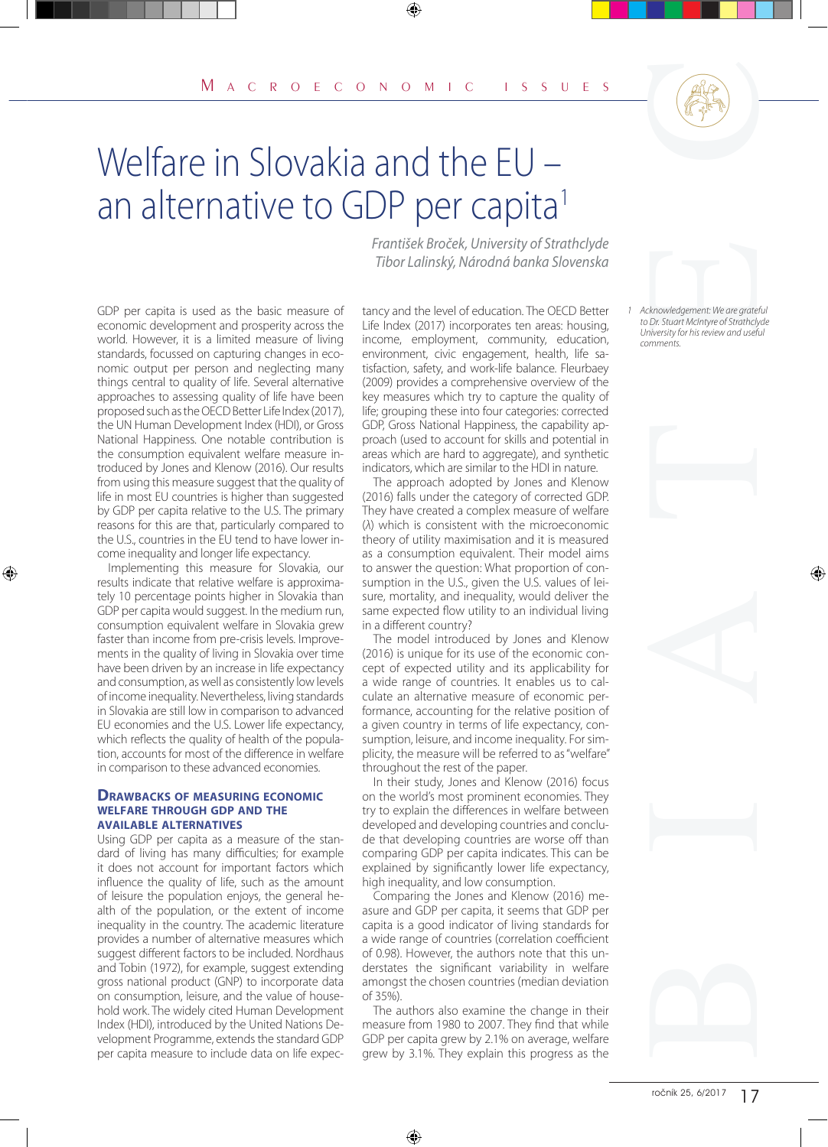

# Welfare in Slovakia and the EU – an alternative to GDP per capita<sup>1</sup>

*František Broček, University of Strathclyde Tibor Lalinský, Národná banka Slovenska*

GDP per capita is used as the basic measure of economic development and prosperity across the world. However, it is a limited measure of living standards, focussed on capturing changes in economic output per person and neglecting many things central to quality of life. Several alternative approaches to assessing quality of life have been proposed such as the OECD Better Life Index (2017), the UN Human Development Index (HDI), or Gross National Happiness. One notable contribution is the consumption equivalent welfare measure introduced by Jones and Klenow (2016). Our results from using this measure suggest that the quality of life in most EU countries is higher than suggested by GDP per capita relative to the U.S. The primary reasons for this are that, particularly compared to the U.S., countries in the EU tend to have lower income inequality and longer life expectancy.

Implementing this measure for Slovakia, our results indicate that relative welfare is approximately 10 percentage points higher in Slovakia than GDP per capita would suggest. In the medium run, consumption equivalent welfare in Slovakia grew faster than income from pre-crisis levels. Improvements in the quality of living in Slovakia over time have been driven by an increase in life expectancy and consumption, as well as consistently low levels of income inequality. Nevertheless, living standards in Slovakia are still low in comparison to advanced EU economies and the U.S. Lower life expectancy, which reflects the quality of health of the population, accounts for most of the difference in welfare in comparison to these advanced economies.

#### **Drawbacks of measuring economic welfare through gdp and the available alternatives**

Using GDP per capita as a measure of the standard of living has many difficulties; for example it does not account for important factors which influence the quality of life, such as the amount of leisure the population enjoys, the general health of the population, or the extent of income inequality in the country. The academic literature provides a number of alternative measures which suggest different factors to be included. Nordhaus and Tobin (1972), for example, suggest extending gross national product (GNP) to incorporate data on consumption, leisure, and the value of household work. The widely cited Human Development Index (HDI), introduced by the United Nations Development Programme, extends the standard GDP per capita measure to include data on life expectancy and the level of education. The OECD Better Life Index (2017) incorporates ten areas: housing, income, employment, community, education, environment, civic engagement, health, life satisfaction, safety, and work-life balance. Fleurbaey (2009) provides a comprehensive overview of the key measures which try to capture the quality of life; grouping these into four categories: corrected GDP, Gross National Happiness, the capability approach (used to account for skills and potential in areas which are hard to aggregate), and synthetic indicators, which are similar to the HDI in nature.

The approach adopted by Jones and Klenow (2016) falls under the category of corrected GDP. They have created a complex measure of welfare (*λ*) which is consistent with the microeconomic theory of utility maximisation and it is measured as a consumption equivalent. Their model aims to answer the question: What proportion of consumption in the U.S., given the U.S. values of leisure, mortality, and inequality, would deliver the same expected flow utility to an individual living in a different country?

The model introduced by Jones and Klenow (2016) is unique for its use of the economic concept of expected utility and its applicability for a wide range of countries. It enables us to calculate an alternative measure of economic performance, accounting for the relative position of a given country in terms of life expectancy, consumption, leisure, and income inequality. For simplicity, the measure will be referred to as "welfare" throughout the rest of the paper.

In their study, Jones and Klenow (2016) focus on the world's most prominent economies. They try to explain the differences in welfare between developed and developing countries and conclude that developing countries are worse off than comparing GDP per capita indicates. This can be explained by significantly lower life expectancy, high inequality, and low consumption.

Comparing the Jones and Klenow (2016) measure and GDP per capita, it seems that GDP per capita is a good indicator of living standards for a wide range of countries (correlation coefficient of 0.98). However, the authors note that this understates the significant variability in welfare amongst the chosen countries (median deviation of 35%).

The authors also examine the change in their measure from 1980 to 2007. They find that while GDP per capita grew by 2.1% on average, welfare grew by 3.1%. They explain this progress as the



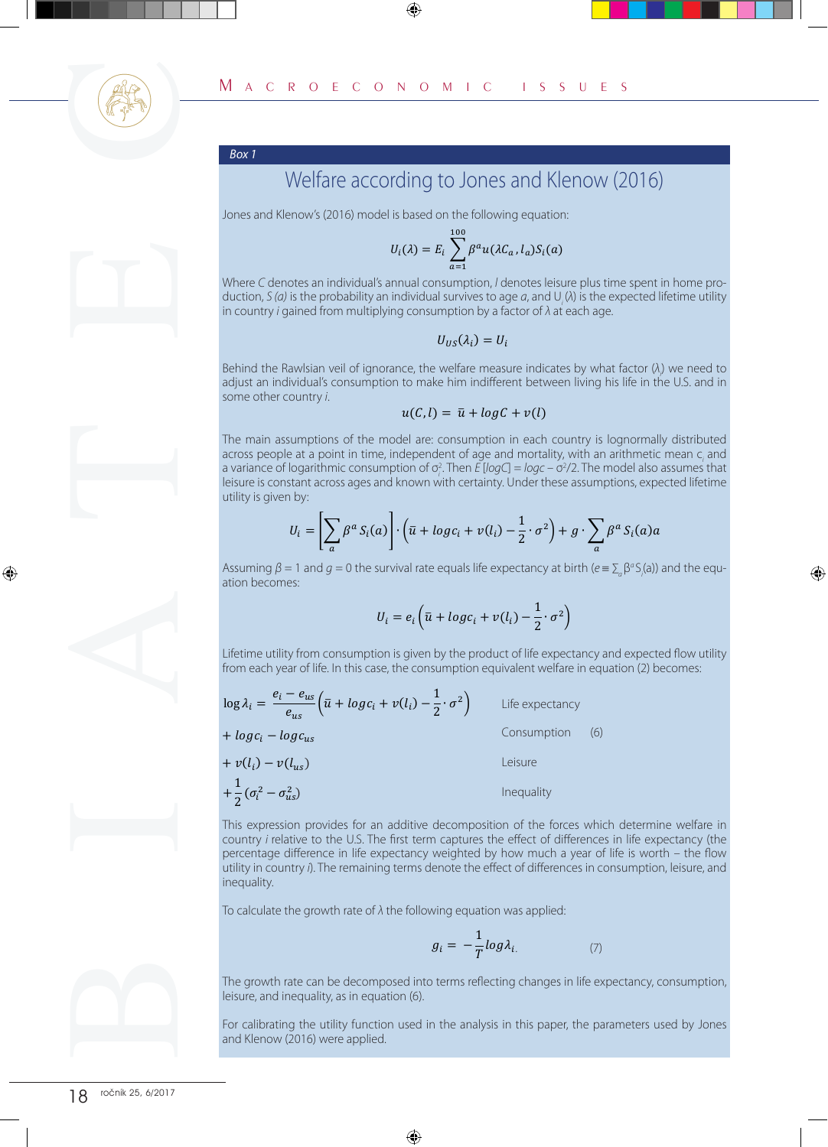

#### Box 1

## Welfare according to Jones and Klenow (2016)

Jones and Klenow's (2016) model is based on the following equation:

$$
U_i(\lambda) = E_i \sum_{a=1}^{100} \beta^a u(\lambda C_a, l_a) S_i(a)
$$

Where C denotes an individual's annual consumption, I denotes leisure plus time spent in home production, S (a) is the probability an individual survives to age a, and U ( $\lambda$ ) is the expected lifetime utility in country *i* gained from multiplying consumption by a factor of  $\lambda$  at each age.

$$
U_{US}(\lambda_i) = U_i
$$

Behind the Rawlsian veil of ignorance, the welfare measure indicates by what factor  $(\lambda)$  we need to adjust an individual's consumption to make him indifferent between living his life in the U.S. and in some other country i.

$$
u(C,l) = \bar{u} + logC + v(l)
$$

The main assumptions of the model are: consumption in each country is lognormally distributed across people at a point in time, independent of age and mortality, with an arithmetic mean c. and a variance of logarithmic consumption of  $\sigma_{1}^{2}$ . Then  $E$  [logC] = logc –  $\sigma^{2}/2$ . The model also assumes that leisure is constant across ages and known with certainty. Under these assumptions, expected lifetime utility is given by:

$$
U_i = \left[ \sum_a \beta^a S_i(a) \right] \cdot \left( \bar{u} + \log c_i + v(l_i) - \frac{1}{2} \cdot \sigma^2 \right) + g \cdot \sum_a \beta^a S_i(a) a
$$

Assuming  $\beta = 1$  and  $g = 0$  the survival rate equals life expectancy at birth ( $e \equiv \sum_a \beta^a S_i(a)$ ) and the equation becomes:

$$
U_i = e_i \left( \bar{u} + log c_i + v(l_i) - \frac{1}{2} \cdot \sigma^2 \right)
$$

Lifetime utility from consumption is given by the product of life expectancy and expected flow utility from each year of life. In this case, the consumption equivalent welfare in equation (2) becomes:

$$
\log \lambda_i = \frac{e_i - e_{us}}{e_{us}} \left( \bar{u} + \log c_i + v(l_i) - \frac{1}{2} \cdot \sigma^2 \right)
$$
 Life expectancy  
+  $\log c_i - \log c_{us}$  Consumption (6)  
+  $v(l_i) - v(l_{us})$  leisure  
+  $\frac{1}{2} (\sigma_i^2 - \sigma_{us}^2)$  Inequality

This expression provides for an additive decomposition of the forces which determine welfare in country i relative to the U.S. The first term captures the effect of differences in life expectancy (the percentage difference in life expectancy weighted by how much a year of life is worth - the flow utility in country i). The remaining terms denote the effect of differences in consumption, leisure, and inequality.

To calculate the growth rate of  $\lambda$  the following equation was applied:

$$
g_i = -\frac{1}{T} log \lambda_{i.} \tag{7}
$$

The growth rate can be decomposed into terms reflecting changes in life expectancy, consumption, leisure, and inequality, as in equation (6).

For calibrating the utility function used in the analysis in this paper, the parameters used by Jones and Klenow (2016) were applied.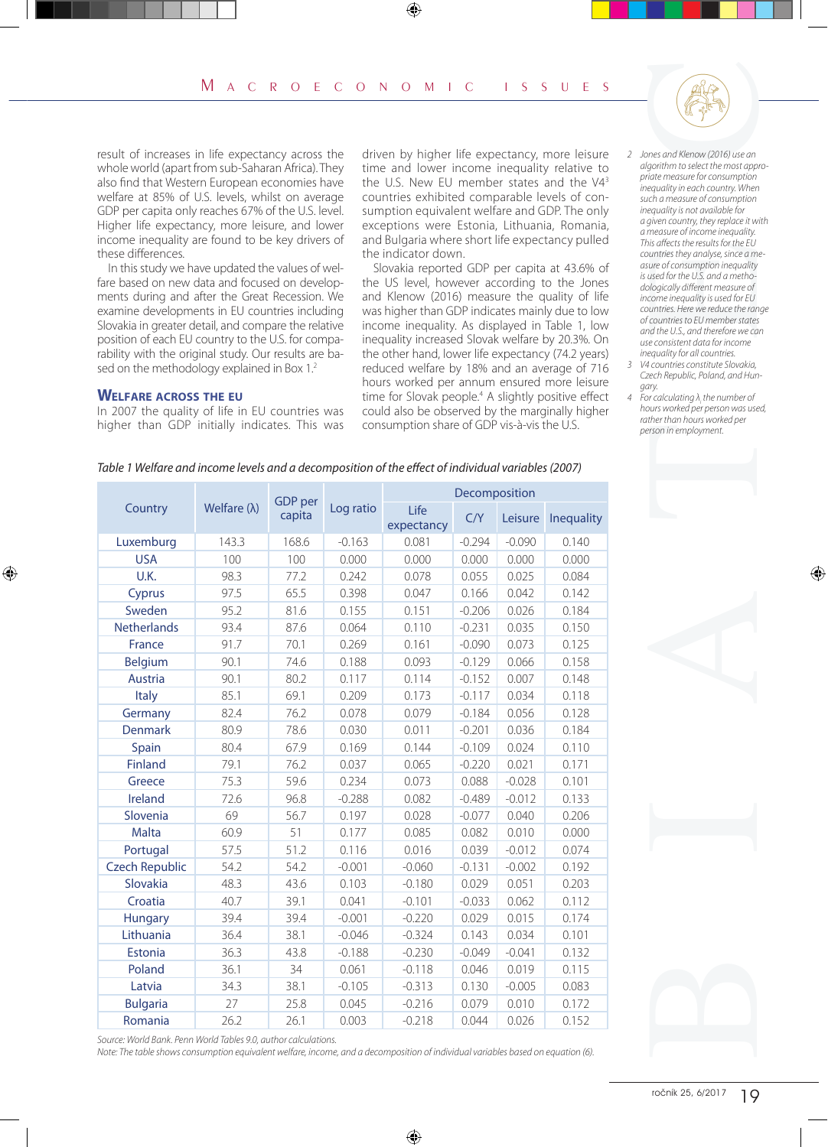result of increases in life expectancy across the whole world (apart from sub-Saharan Africa). They also find that Western European economies have welfare at 85% of U.S. levels, whilst on average GDP per capita only reaches 67% of the U.S. level. Higher life expectancy, more leisure, and lower income inequality are found to be key drivers of these differences.

In this study we have updated the values of welfare based on new data and focused on developments during and after the Great Recession. We examine developments in EU countries including Slovakia in greater detail, and compare the relative position of each EU country to the U.S. for comparability with the original study. Our results are based on the methodology explained in Box 1.2

driven by higher life expectancy, more leisure time and lower income inequality relative to the U.S. New EU member states and the V43 countries exhibited comparable levels of consumption equivalent welfare and GDP. The only exceptions were Estonia, Lithuania, Romania, and Bulgaria where short life expectancy pulled the indicator down.

Slovakia reported GDP per capita at 43.6% of the US level, however according to the Jones and Klenow (2016) measure the quality of life was higher than GDP indicates mainly due to low income inequality. As displayed in Table 1, low inequality increased Slovak welfare by 20.3%. On the other hand, lower life expectancy (74.2 years) reduced welfare by 18% and an average of 716 hours worked per annum ensured more leisure time for Slovak people.4 A slightly positive effect could also be observed by the marginally higher consumption share of GDP vis-à-vis the U.S.

- *Control Methow (2016)*<br> *Lones and Menow (2016)* use an *a dogotivity not are determination*<br> *mequality in exact for consumption*<br> *mequality in exact for consumption*<br> *a given counties they endy esting this proper coun 2 Jones and Klenow (2016) use an algorithm to select the most appropriate measure for consumption inequality in each country. When such a measure of consumption inequality is not available for a given country, they replace it with a measure of income inequality. This affects the results for the EU countries they analyse, since a measure of consumption inequality is used for the U.S. and a methodologically different measure of income inequality is used for EU countries. Here we reduce the range of countries to EU member states and the U.S., and therefore we can use consistent data for income inequality for all countries.* 
	- *3 V4 countries constitute Slovakia, Czech Republic, Poland, and Hungary.*
	- *4 For calculating λi the number of hours worked per person was used, rather than hours worked per person in employment.*

### **Welfare across the eu**

In 2007 the quality of life in EU countries was higher than GDP initially indicates. This was

|                                                                            | Welfare $(\lambda)$ | GDP per<br>capita |           | Decomposition      |          |          |            |  |
|----------------------------------------------------------------------------|---------------------|-------------------|-----------|--------------------|----------|----------|------------|--|
| Country                                                                    |                     |                   | Log ratio | Life<br>expectancy | C/Y      | Leisure  | Inequality |  |
| Luxemburg                                                                  | 143.3               | 168.6             | $-0.163$  | 0.081              | $-0.294$ | $-0.090$ | 0.140      |  |
| <b>USA</b>                                                                 | 100                 | 100               | 0.000     | 0.000              | 0.000    | 0.000    | 0.000      |  |
| U.K.                                                                       | 98.3                | 77.2              | 0.242     | 0.078              | 0.055    | 0.025    | 0.084      |  |
| Cyprus                                                                     | 97.5                | 65.5              | 0.398     | 0.047              | 0.166    | 0.042    | 0.142      |  |
| Sweden                                                                     | 95.2                | 81.6              | 0.155     | 0.151              | $-0.206$ | 0.026    | 0.184      |  |
| Netherlands                                                                | 93.4                | 87.6              | 0.064     | 0.110              | $-0.231$ | 0.035    | 0.150      |  |
| France                                                                     | 91.7                | 70.1              | 0.269     | 0.161              | $-0.090$ | 0.073    | 0.125      |  |
| <b>Belgium</b>                                                             | 90.1                | 74.6              | 0.188     | 0.093              | $-0.129$ | 0.066    | 0.158      |  |
| Austria                                                                    | 90.1                | 80.2              | 0.117     | 0.114              | $-0.152$ | 0.007    | 0.148      |  |
| <b>Italy</b>                                                               | 85.1                | 69.1              | 0.209     | 0.173              | $-0.117$ | 0.034    | 0.118      |  |
| Germany                                                                    | 82.4                | 76.2              | 0.078     | 0.079              | $-0.184$ | 0.056    | 0.128      |  |
| <b>Denmark</b>                                                             | 80.9                | 78.6              | 0.030     | 0.011              | $-0.201$ | 0.036    | 0.184      |  |
| Spain                                                                      | 80.4                | 67.9              | 0.169     | 0.144              | $-0.109$ | 0.024    | 0.110      |  |
| <b>Finland</b>                                                             | 79.1                | 76.2              | 0.037     | 0.065              | $-0.220$ | 0.021    | 0.171      |  |
| Greece                                                                     | 75.3                | 59.6              | 0.234     | 0.073              | 0.088    | $-0.028$ | 0.101      |  |
| Ireland                                                                    | 72.6                | 96.8              | $-0.288$  | 0.082              | $-0.489$ | $-0.012$ | 0.133      |  |
| Slovenia                                                                   | 69                  | 56.7              | 0.197     | 0.028              | $-0.077$ | 0.040    | 0.206      |  |
| <b>Malta</b>                                                               | 60.9                | 51                | 0.177     | 0.085              | 0.082    | 0.010    | 0.000      |  |
| Portugal                                                                   | 57.5                | 51.2              | 0.116     | 0.016              | 0.039    | $-0.012$ | 0.074      |  |
| <b>Czech Republic</b>                                                      | 54.2                | 54.2              | $-0.001$  | $-0.060$           | $-0.131$ | $-0.002$ | 0.192      |  |
| Slovakia                                                                   | 48.3                | 43.6              | 0.103     | $-0.180$           | 0.029    | 0.051    | 0.203      |  |
| Croatia                                                                    | 40.7                | 39.1              | 0.041     | $-0.101$           | $-0.033$ | 0.062    | 0.112      |  |
| <b>Hungary</b>                                                             | 39.4                | 39.4              | $-0.001$  | $-0.220$           | 0.029    | 0.015    | 0.174      |  |
| Lithuania                                                                  | 36.4                | 38.1              | $-0.046$  | $-0.324$           | 0.143    | 0.034    | 0.101      |  |
| Estonia                                                                    | 36.3                | 43.8              | $-0.188$  | $-0.230$           | $-0.049$ | $-0.041$ | 0.132      |  |
| Poland                                                                     | 36.1                | 34                | 0.061     | $-0.118$           | 0.046    | 0.019    | 0.115      |  |
| Latvia                                                                     | 34.3                | 38.1              | $-0.105$  | $-0.313$           | 0.130    | $-0.005$ | 0.083      |  |
| <b>Bulgaria</b>                                                            | 27                  | 25.8              | 0.045     | $-0.216$           | 0.079    | 0.010    | 0.172      |  |
| Romania<br>Cource: World Raph, Repp. World Tables 0.0, author calculations | 26.2                | 26.1              | 0.003     | $-0.218$           | 0.044    | 0.026    | 0.152      |  |

#### *Table 1 Welfare and income levels and a decomposition of the effect of individual variables (2007)*

*Source: World Bank. Penn World Tables 9.0, author calculations.*

*Note: The table shows consumption equivalent welfare, income, and a decomposition of individual variables based on equation (6).*

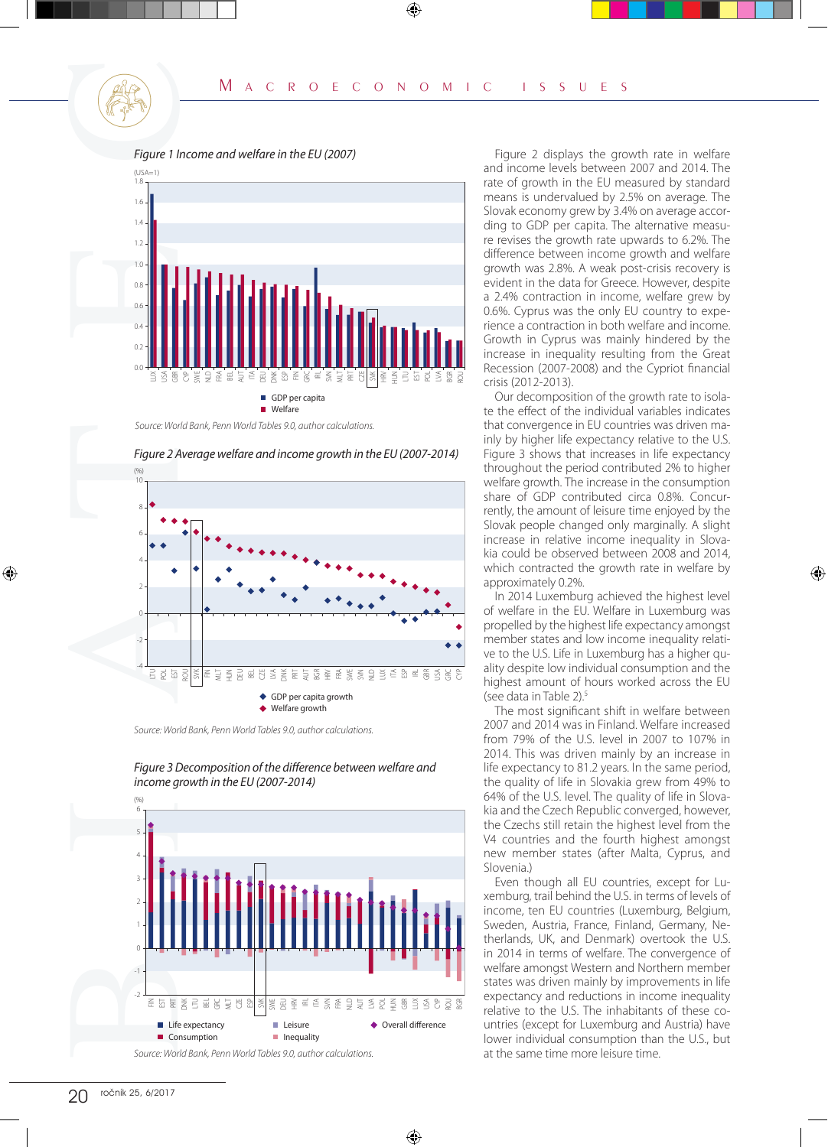*Figure 1 Income and welfare in the EU (2007)*



*Source: World Bank, Penn World Tables 9.0, author calculations.*



*Figure 2 Average welfare and income growth in the EU (2007-2014)*

*Source: World Bank, Penn World Tables 9.0, author calculations.* 



*Figure 3 Decomposition of the difference between welfare and income growth in the EU (2007-2014)*

Figure 2 displays the growth rate in welfare and income levels between 2007 and 2014. The rate of growth in the EU measured by standard means is undervalued by 2.5% on average. The Slovak economy grew by 3.4% on average according to GDP per capita. The alternative measure revises the growth rate upwards to 6.2%. The difference between income growth and welfare growth was 2.8%. A weak post-crisis recovery is evident in the data for Greece. However, despite a 2.4% contraction in income, welfare grew by 0.6%. Cyprus was the only EU country to experience a contraction in both welfare and income. Growth in Cyprus was mainly hindered by the increase in inequality resulting from the Great Recession (2007-2008) and the Cypriot financial crisis (2012-2013).

Our decomposition of the growth rate to isolate the effect of the individual variables indicates that convergence in EU countries was driven mainly by higher life expectancy relative to the U.S. Figure 3 shows that increases in life expectancy throughout the period contributed 2% to higher welfare growth. The increase in the consumption share of GDP contributed circa 0.8%. Concurrently, the amount of leisure time enjoyed by the Slovak people changed only marginally. A slight increase in relative income inequality in Slovakia could be observed between 2008 and 2014, which contracted the growth rate in welfare by approximately 0.2%.

In 2014 Luxemburg achieved the highest level of welfare in the EU. Welfare in Luxemburg was propelled by the highest life expectancy amongst member states and low income inequality relative to the U.S. Life in Luxemburg has a higher quality despite low individual consumption and the highest amount of hours worked across the EU (see data in Table 2).5

The most significant shift in welfare between 2007 and 2014 was in Finland. Welfare increased from 79% of the U.S. level in 2007 to 107% in 2014. This was driven mainly by an increase in life expectancy to 81.2 years. In the same period, the quality of life in Slovakia grew from 49% to 64% of the U.S. level. The quality of life in Slovakia and the Czech Republic converged, however, the Czechs still retain the highest level from the V4 countries and the fourth highest amongst new member states (after Malta, Cyprus, and Slovenia.)

Even though all EU countries, except for Luxemburg, trail behind the U.S. in terms of levels of income, ten EU countries (Luxemburg, Belgium, Sweden, Austria, France, Finland, Germany, Netherlands, UK, and Denmark) overtook the U.S. in 2014 in terms of welfare. The convergence of welfare amongst Western and Northern member states was driven mainly by improvements in life expectancy and reductions in income inequality relative to the U.S. The inhabitants of these countries (except for Luxemburg and Austria) have lower individual consumption than the U.S., but at the same time more leisure time.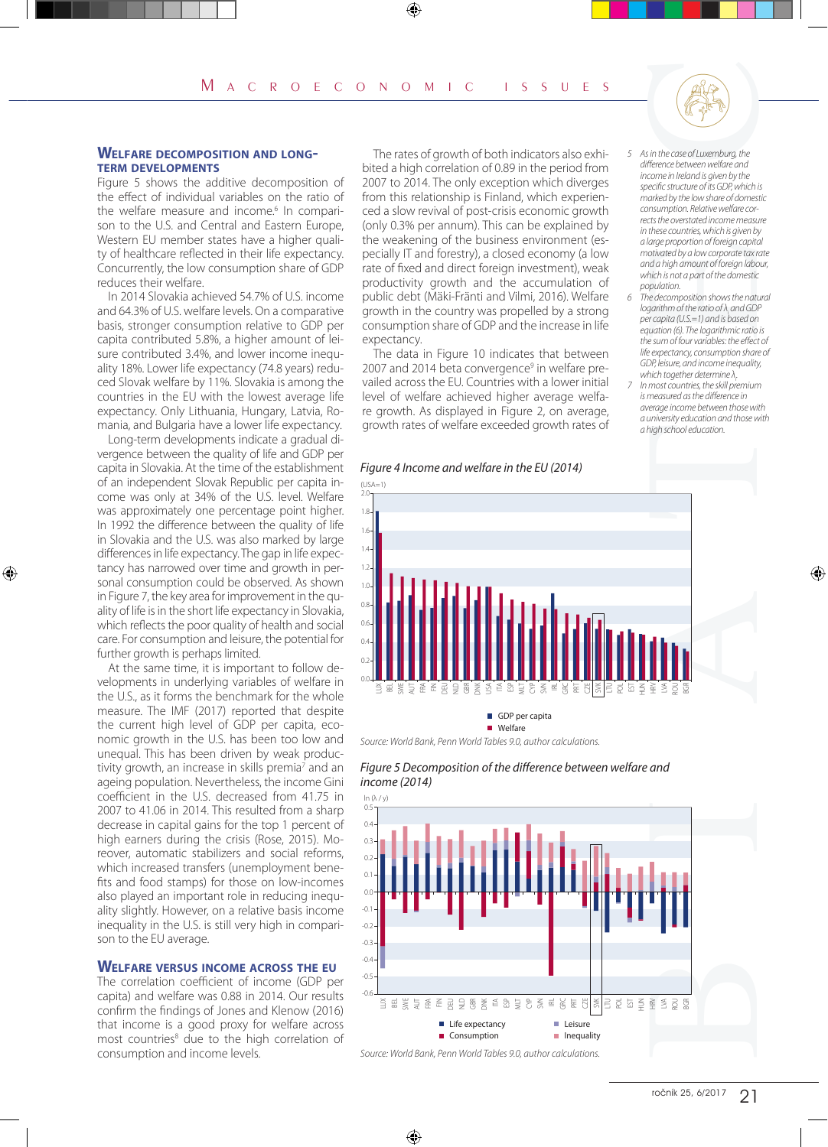#### **Welfare decomposition and long term developments**

Figure 5 shows the additive decomposition of the effect of individual variables on the ratio of the welfare measure and income.<sup>6</sup> In comparison to the U.S. and Central and Eastern Europe, Western EU member states have a higher quality of healthcare reflected in their life expectancy. Concurrently, the low consumption share of GDP reduces their welfare.

In 2014 Slovakia achieved 54.7% of U.S. income and 64.3% of U.S. welfare levels. On a comparative basis, stronger consumption relative to GDP per capita contributed 5.8%, a higher amount of leisure contributed 3.4%, and lower income inequality 18%. Lower life expectancy (74.8 years) reduced Slovak welfare by 11%. Slovakia is among the countries in the EU with the lowest average life expectancy. Only Lithuania, Hungary, Latvia, Romania, and Bulgaria have a lower life expectancy.

Long-term developments indicate a gradual divergence between the quality of life and GDP per capita in Slovakia. At the time of the establishment of an independent Slovak Republic per capita income was only at 34% of the U.S. level. Welfare was approximately one percentage point higher. In 1992 the difference between the quality of life in Slovakia and the U.S. was also marked by large differences in life expectancy. The gap in life expectancy has narrowed over time and growth in personal consumption could be observed. As shown in Figure 7, the key area for improvement in the quality of life is in the short life expectancy in Slovakia, which reflects the poor quality of health and social care. For consumption and leisure, the potential for further growth is perhaps limited.

At the same time, it is important to follow developments in underlying variables of welfare in the U.S., as it forms the benchmark for the whole measure. The IMF (2017) reported that despite the current high level of GDP per capita, economic growth in the U.S. has been too low and unequal. This has been driven by weak productivity growth, an increase in skills premia<sup>7</sup> and an ageing population. Nevertheless, the income Gini coefficient in the U.S. decreased from 41.75 in 2007 to 41.06 in 2014. This resulted from a sharp decrease in capital gains for the top 1 percent of high earners during the crisis (Rose, 2015). Moreover, automatic stabilizers and social reforms, which increased transfers (unemployment benefits and food stamps) for those on low-incomes also played an important role in reducing inequality slightly. However, on a relative basis income inequality in the U.S. is still very high in comparison to the EU average.

#### **Welfare versus income across the eu**

The correlation coefficient of income (GDP per capita) and welfare was 0.88 in 2014. Our results confirm the findings of Jones and Klenow (2016) that income is a good proxy for welfare across most countries<sup>8</sup> due to the high correlation of consumption and income levels.

The rates of growth of both indicators also exhibited a high correlation of 0.89 in the period from 2007 to 2014. The only exception which diverges from this relationship is Finland, which experienced a slow revival of post-crisis economic growth (only 0.3% per annum). This can be explained by the weakening of the business environment (especially IT and forestry), a closed economy (a low rate of fixed and direct foreign investment), weak productivity growth and the accumulation of public debt (Mäki-Fränti and Vilmi, 2016). Welfare growth in the country was propelled by a strong consumption share of GDP and the increase in life expectancy.

The data in Figure 10 indicates that between 2007 and 2014 beta convergence<sup>9</sup> in welfare prevailed across the EU. Countries with a lower initial level of welfare achieved higher average welfare growth. As displayed in Figure 2, on average, growth rates of welfare exceeded growth rates of

#### *Figure 4 Income and welfare in the EU (2014)*



*5 As in the case of Luxemburg, the difference between welfare and income in Ireland is given by the specific structure of its GDP, which is* 

- *the sum of four variables: the effect of life expectancy, consumption share of GDP, leisure, and income inequality, which together determine λi . 7 In most countries, the skill premium*
- *is measured as the difference in average income between those with a university education and those with a high school education.*



*Source: World Bank, Penn World Tables 9.0, author calculations.*



Leisure **Inequality** 

■ 옮 匡 CZE SVK LTU POL EST  $\leq$ HRV LVA ROU BGR

#### *Figure 5 Decomposition of the difference between welfare and income (2014)*

*Source: World Bank, Penn World Tables 9.0, author calculations.* Consumption

■ Life expectancy

品皇尊美昏臨皇をゑ

-0.6

S ¤ ※ 5 £ £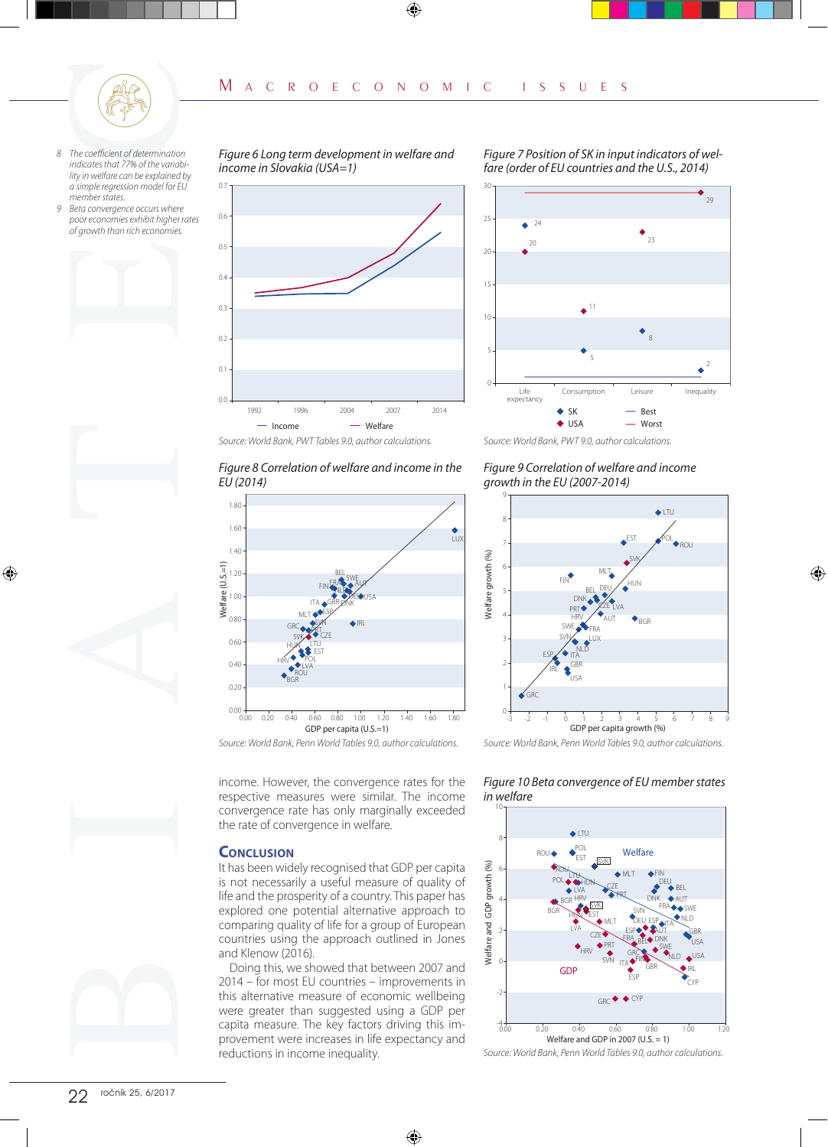- *8 The coefficient of determination indicates that 77% of the variability in welfare can be explained by a simple regression model for EU member states.*
- *9 Beta convergence occurs where poor economies exhibit higher rates of growth than rich economies.*



0.2

 $^{\circ}$ 



*Figure 6 Long term development in welfare and* 





*Figure 7 Position of SK in input indicators of welfare (order of EU countries and the U.S., 2014)*



*Figure 8 Correlation of welfare and income in the Figure 9 Correlation of welfare and income* 



*growth in the EU (2007-2014)*



*Source: World Bank, Penn World Tables 9.0, author calculations.*

income. However, the convergence rates for the respective measures were similar. The income convergence rate has only marginally exceeded the rate of convergence in welfare.

### **Conclusion**

It has been widely recognised that GDP per capita is not necessarily a useful measure of quality of life and the prosperity of a country. This paper has explored one potential alternative approach to comparing quality of life for a group of European countries using the approach outlined in Jones and Klenow (2016).

Doing this, we showed that between 2007 and 2014 – for most EU countries – improvements in this alternative measure of economic wellbeing were greater than suggested using a GDP per capita measure. The key factors driving this improvement were increases in life expectancy and reductions in income inequality.





*Source: World Bank, Penn World Tables 9.0, author calculations.*